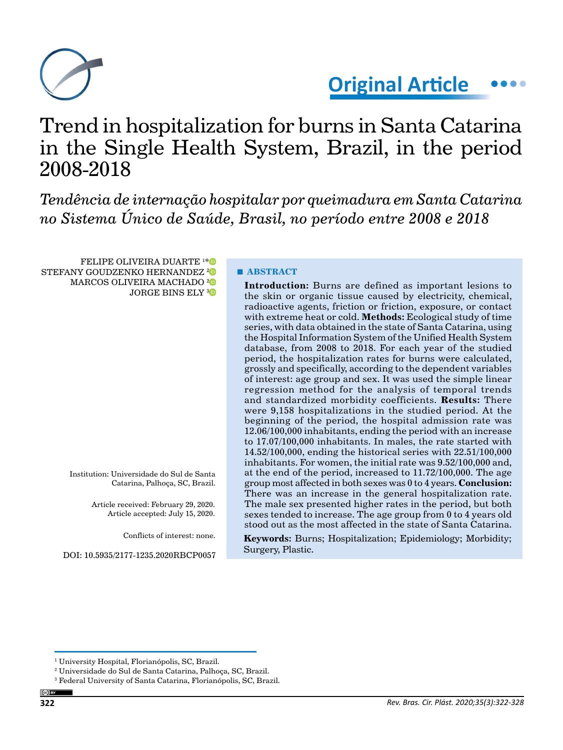

**Original Article**

# Trend in hospitalization for burns in Santa Catarina in the Single Health System, Brazil, in the period 2008-2018

*Tendência de internação hospitalar por queimadura em Santa Catarina no Sistema Único de Saúde, Brasil, no período entre 2008 e 2018*

FELIPE OLIVEIRA DUARTE 1 [\\*](https://orcid.org/0000-0002-0555-0656) STEFANY GOUDZENKO HERNANDEZ<sup>[2](https://orcid.org/0000-0001-6130-7629)0</sup> MARCOS OLIVEIRA MACHADO [2](https://orcid.org/000-0002-7143-328X)0 JORGE BINS ELY<sup>[3](https://orcid.org/0000-0002-8226-0062)</sup>

Institution: Universidade do Sul de Santa Catarina, Palhoça, SC, Brazil.

> Article received: February 29, 2020. Article accepted: July 15, 2020.

> > Conflicts of interest: none.

DOI: 10.5935/2177-1235.2020RBCP0057

# **■ ABSTRACT**

**Introduction:** Burns are defined as important lesions to the skin or organic tissue caused by electricity, chemical, radioactive agents, friction or friction, exposure, or contact with extreme heat or cold. **Methods:** Ecological study of time series, with data obtained in the state of Santa Catarina, using the Hospital Information System of the Unified Health System database, from 2008 to 2018. For each year of the studied period, the hospitalization rates for burns were calculated, grossly and specifically, according to the dependent variables of interest: age group and sex. It was used the simple linear regression method for the analysis of temporal trends and standardized morbidity coefficients. **Results:** There were 9,158 hospitalizations in the studied period. At the beginning of the period, the hospital admission rate was 12.06/100,000 inhabitants, ending the period with an increase to 17.07/100,000 inhabitants. In males, the rate started with 14.52/100,000, ending the historical series with 22.51/100,000 inhabitants. For women, the initial rate was 9.52/100,000 and, at the end of the period, increased to 11.72/100,000. The age group most affected in both sexes was 0 to 4 years. **Conclusion:**  There was an increase in the general hospitalization rate. The male sex presented higher rates in the period, but both sexes tended to increase. The age group from 0 to 4 years old stood out as the most affected in the state of Santa Catarina.

**Keywords:** Burns; Hospitalization; Epidemiology; Morbidity; Surgery, Plastic.

<sup>1</sup> University Hospital, Florianópolis, SC, Brazil.

<sup>2</sup> Universidade do Sul de Santa Catarina, Palhoça, SC, Brazil.

<sup>3</sup> Federal University of Santa Catarina, Florianópolis, SC, Brazil.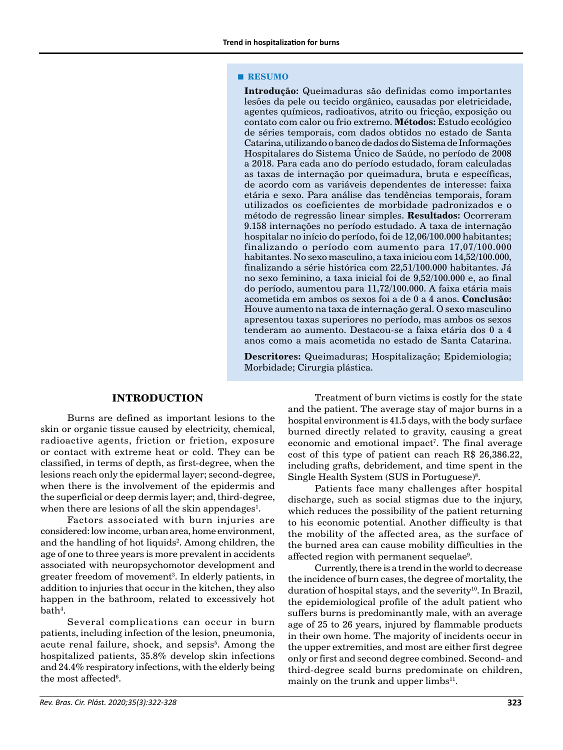#### **■ RESUMO**

**Introdução:** Queimaduras são definidas como importantes lesões da pele ou tecido orgânico, causadas por eletricidade, agentes químicos, radioativos, atrito ou fricção, exposição ou contato com calor ou frio extremo. **Métodos:** Estudo ecológico de séries temporais, com dados obtidos no estado de Santa Catarina, utilizando o banco de dados do Sistema de Informações Hospitalares do Sistema Único de Saúde, no período de 2008 a 2018. Para cada ano do período estudado, foram calculadas as taxas de internação por queimadura, bruta e específicas, de acordo com as variáveis dependentes de interesse: faixa etária e sexo. Para análise das tendências temporais, foram utilizados os coeficientes de morbidade padronizados e o método de regressão linear simples. **Resultados:** Ocorreram 9.158 internações no período estudado. A taxa de internação hospitalar no início do período, foi de 12,06/100.000 habitantes; finalizando o período com aumento para 17,07/100.000 habitantes. No sexo masculino, a taxa iniciou com 14,52/100.000, finalizando a série histórica com 22,51/100.000 habitantes. Já no sexo feminino, a taxa inicial foi de 9,52/100.000 e, ao final do período, aumentou para 11,72/100.000. A faixa etária mais acometida em ambos os sexos foi a de 0 a 4 anos. **Conclusão:**  Houve aumento na taxa de internação geral. O sexo masculino apresentou taxas superiores no período, mas ambos os sexos tenderam ao aumento. Destacou-se a faixa etária dos 0 a 4 anos como a mais acometida no estado de Santa Catarina.

**Descritores:** Queimaduras; Hospitalização; Epidemiologia; Morbidade; Cirurgia plástica.

#### **INTRODUCTION**

Burns are defined as important lesions to the skin or organic tissue caused by electricity, chemical, radioactive agents, friction or friction, exposure or contact with extreme heat or cold. They can be classified, in terms of depth, as first-degree, when the lesions reach only the epidermal layer; second-degree, when there is the involvement of the epidermis and the superficial or deep dermis layer; and, third-degree, when there are lesions of all the skin appendages $^{\rm l}$ .

Factors associated with burn injuries are considered: low income, urban area, home environment, and the handling of hot liquids2 . Among children, the age of one to three years is more prevalent in accidents associated with neuropsychomotor development and greater freedom of movement<sup>3</sup>. In elderly patients, in addition to injuries that occur in the kitchen, they also happen in the bathroom, related to excessively hot  $bath<sup>4</sup>$ .

Several complications can occur in burn patients, including infection of the lesion, pneumonia, acute renal failure, shock, and sepsis<sup>5</sup>. Among the hospitalized patients, 35.8% develop skin infections and 24.4% respiratory infections, with the elderly being the most affected $6$ .

Treatment of burn victims is costly for the state and the patient. The average stay of major burns in a hospital environment is 41.5 days, with the body surface burned directly related to gravity, causing a great economic and emotional impact<sup>7</sup>. The final average cost of this type of patient can reach R\$ 26,386.22, including grafts, debridement, and time spent in the Single Health System (SUS in Portuguese)8 .

Patients face many challenges after hospital discharge, such as social stigmas due to the injury, which reduces the possibility of the patient returning to his economic potential. Another difficulty is that the mobility of the affected area, as the surface of the burned area can cause mobility difficulties in the affected region with permanent sequelae<sup>9</sup>.

Currently, there is a trend in the world to decrease the incidence of burn cases, the degree of mortality, the duration of hospital stays, and the severity<sup>10</sup>. In Brazil, the epidemiological profile of the adult patient who suffers burns is predominantly male, with an average age of 25 to 26 years, injured by flammable products in their own home. The majority of incidents occur in the upper extremities, and most are either first degree only or first and second degree combined. Second- and third-degree scald burns predominate on children, mainly on the trunk and upper limbs<sup>11</sup>.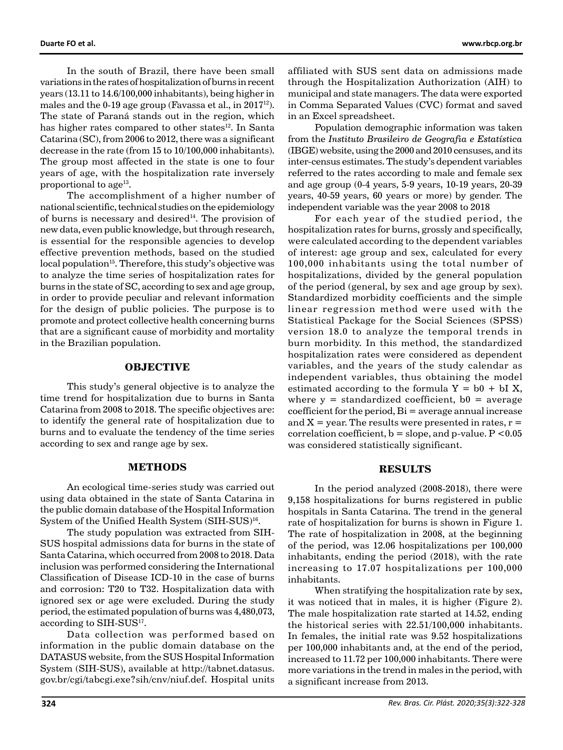In the south of Brazil, there have been small variations in the rates of hospitalization of burns in recent years (13.11 to 14.6/100,000 inhabitants), being higher in males and the 0-19 age group (Favassa et al., in 2017<sup>12</sup>). The state of Paraná stands out in the region, which has higher rates compared to other states<sup>12</sup>. In Santa Catarina (SC), from 2006 to 2012, there was a significant decrease in the rate (from 15 to 10/100,000 inhabitants). The group most affected in the state is one to four years of age, with the hospitalization rate inversely proportional to age<sup>13</sup>.

The accomplishment of a higher number of national scientific, technical studies on the epidemiology of burns is necessary and desired $14$ . The provision of new data, even public knowledge, but through research, is essential for the responsible agencies to develop effective prevention methods, based on the studied local population<sup>15</sup>. Therefore, this study's objective was to analyze the time series of hospitalization rates for burns in the state of SC, according to sex and age group, in order to provide peculiar and relevant information for the design of public policies. The purpose is to promote and protect collective health concerning burns that are a significant cause of morbidity and mortality in the Brazilian population.

#### **OBJECTIVE**

This study's general objective is to analyze the time trend for hospitalization due to burns in Santa Catarina from 2008 to 2018. The specific objectives are: to identify the general rate of hospitalization due to burns and to evaluate the tendency of the time series according to sex and range age by sex.

#### **METHODS**

An ecological time-series study was carried out using data obtained in the state of Santa Catarina in the public domain database of the Hospital Information System of the Unified Health System (SIH-SUS)<sup>16</sup>.

The study population was extracted from SIH-SUS hospital admissions data for burns in the state of Santa Catarina, which occurred from 2008 to 2018. Data inclusion was performed considering the International Classification of Disease ICD-10 in the case of burns and corrosion: T20 to T32. Hospitalization data with ignored sex or age were excluded. During the study period, the estimated population of burns was 4,480,073, according to SIH-SUS<sup>17</sup>.

Data collection was performed based on information in the public domain database on the DATASUS website, from the SUS Hospital Information System (SIH-SUS), available at [http://tabnet.datasus.](http://tabnet.datasus.gov.br/cgi/tabcgi.exe?sih/cnv/niuf.def) [gov.br/cgi/tabcgi.exe?sih/cnv/niuf.def](http://tabnet.datasus.gov.br/cgi/tabcgi.exe?sih/cnv/niuf.def). Hospital units

affiliated with SUS sent data on admissions made through the Hospitalization Authorization (AIH) to municipal and state managers. The data were exported in Comma Separated Values (CVC) format and saved in an Excel spreadsheet.

Population demographic information was taken from the *Instituto Brasileiro de Geografia e Estatística*  (IBGE) website, using the 2000 and 2010 censuses, and its inter-census estimates. The study's dependent variables referred to the rates according to male and female sex and age group (0-4 years, 5-9 years, 10-19 years, 20-39 years, 40-59 years, 60 years or more) by gender. The independent variable was the year 2008 to 2018

For each year of the studied period, the hospitalization rates for burns, grossly and specifically, were calculated according to the dependent variables of interest: age group and sex, calculated for every 100,000 inhabitants using the total number of hospitalizations, divided by the general population of the period (general, by sex and age group by sex). Standardized morbidity coefficients and the simple linear regression method were used with the Statistical Package for the Social Sciences (SPSS) version 18.0 to analyze the temporal trends in burn morbidity. In this method, the standardized hospitalization rates were considered as dependent variables, and the years of the study calendar as independent variables, thus obtaining the model estimated according to the formula  $Y = b0 + bI X$ , where  $y =$  standardized coefficient,  $b0 =$  average  $coefficient for the period, Bi = average annual increase$ and  $X =$  year. The results were presented in rates,  $r =$ correlation coefficient,  $b = slope$ , and p-value.  $P < 0.05$ was considered statistically significant.

#### **RESULTS**

In the period analyzed (2008-2018), there were 9,158 hospitalizations for burns registered in public hospitals in Santa Catarina. The trend in the general rate of hospitalization for burns is shown in Figure 1. The rate of hospitalization in 2008, at the beginning of the period, was 12.06 hospitalizations per 100,000 inhabitants, ending the period (2018), with the rate increasing to 17.07 hospitalizations per 100,000 inhabitants.

When stratifying the hospitalization rate by sex, it was noticed that in males, it is higher (Figure 2). The male hospitalization rate started at 14.52, ending the historical series with 22.51/100,000 inhabitants. In females, the initial rate was 9.52 hospitalizations per 100,000 inhabitants and, at the end of the period, increased to 11.72 per 100,000 inhabitants. There were more variations in the trend in males in the period, with a significant increase from 2013.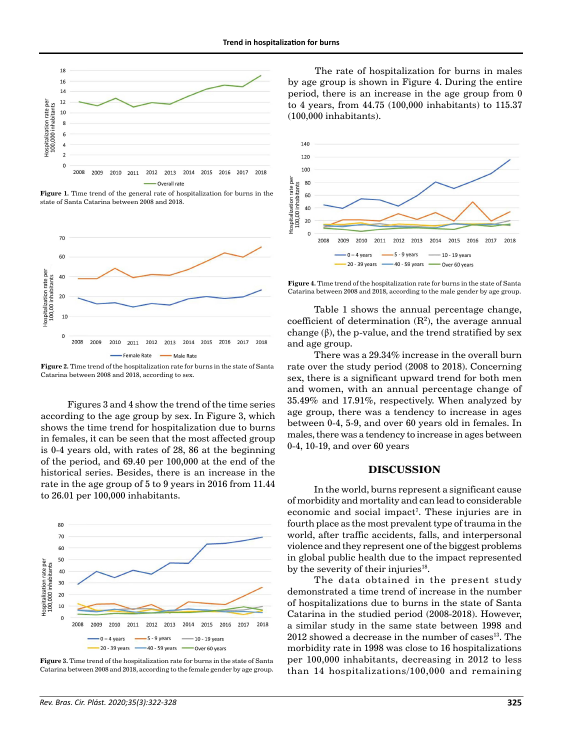

**Figure 1.** Time trend of the general rate of hospitalization for burns in the state of Santa Catarina between 2008 and 2018.



**Figure 2.** Time trend of the hospitalization rate for burns in the state of Santa Catarina between 2008 and 2018, according to sex.

Figures 3 and 4 show the trend of the time series according to the age group by sex. In Figure 3, which shows the time trend for hospitalization due to burns in females, it can be seen that the most affected group is 0-4 years old, with rates of 28, 86 at the beginning of the period, and 69.40 per 100,000 at the end of the historical series. Besides, there is an increase in the rate in the age group of 5 to 9 years in 2016 from 11.44 to 26.01 per 100,000 inhabitants.



**Figure 3.** Time trend of the hospitalization rate for burns in the state of Santa Catarina between 2008 and 2018, according to the female gender by age group.

The rate of hospitalization for burns in males by age group is shown in Figure 4. During the entire period, there is an increase in the age group from 0 to 4 years, from 44.75 (100,000 inhabitants) to 115.37 (100,000 inhabitants).



**Figure 4.** Time trend of the hospitalization rate for burns in the state of Santa Catarina between 2008 and 2018, according to the male gender by age group.

Table 1 shows the annual percentage change, coefficient of determination  $(R^2)$ , the average annual change  $(\beta)$ , the p-value, and the trend stratified by sex and age group.

There was a 29.34% increase in the overall burn rate over the study period (2008 to 2018). Concerning sex, there is a significant upward trend for both men and women, with an annual percentage change of 35.49% and 17.91%, respectively. When analyzed by age group, there was a tendency to increase in ages between 0-4, 5-9, and over 60 years old in females. In males, there was a tendency to increase in ages between 0-4, 10-19, and over 60 years

#### **DISCUSSION**

In the world, burns represent a significant cause of morbidity and mortality and can lead to considerable economic and social impact<sup>7</sup>. These injuries are in fourth place as the most prevalent type of trauma in the world, after traffic accidents, falls, and interpersonal violence and they represent one of the biggest problems in global public health due to the impact represented by the severity of their injuries<sup>18</sup>.

The data obtained in the present study demonstrated a time trend of increase in the number of hospitalizations due to burns in the state of Santa Catarina in the studied period (2008-2018). However, a similar study in the same state between 1998 and  $2012$  showed a decrease in the number of cases<sup>13</sup>. The morbidity rate in 1998 was close to 16 hospitalizations per 100,000 inhabitants, decreasing in 2012 to less than 14 hospitalizations/100,000 and remaining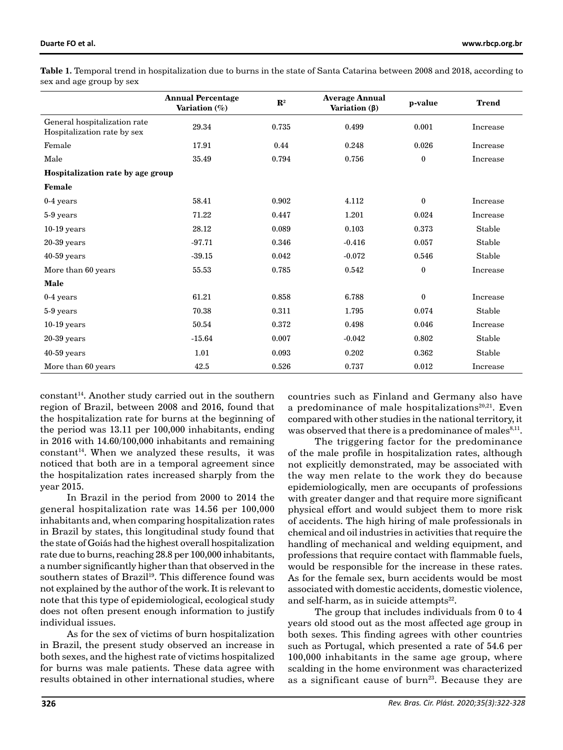|                                                             | <b>Annual Percentage</b><br>Variation (%) | ${\bf R}^2$ | <b>Average Annual</b><br>Variation $(\beta)$ | p-value      | <b>Trend</b> |
|-------------------------------------------------------------|-------------------------------------------|-------------|----------------------------------------------|--------------|--------------|
| General hospitalization rate<br>Hospitalization rate by sex | 29.34                                     | 0.735       | 0.499                                        | 0.001        | Increase     |
| Female                                                      | 17.91                                     | 0.44        | 0.248                                        | 0.026        | Increase     |
| Male                                                        | 35.49                                     | 0.794       | 0.756                                        | $\bf{0}$     | Increase     |
| Hospitalization rate by age group                           |                                           |             |                                              |              |              |
| <b>Female</b>                                               |                                           |             |                                              |              |              |
| $0-4$ years                                                 | 58.41                                     | 0.902       | 4.112                                        | $\mathbf{0}$ | Increase     |
| 5-9 years                                                   | 71.22                                     | 0.447       | 1.201                                        | 0.024        | Increase     |
| $10-19$ years                                               | 28.12                                     | 0.089       | 0.103                                        | 0.373        | Stable       |
| $20-39$ years                                               | $-97.71$                                  | 0.346       | $-0.416$                                     | 0.057        | Stable       |
| $40-59$ years                                               | $-39.15$                                  | 0.042       | $-0.072$                                     | 0.546        | Stable       |
| More than 60 years                                          | 55.53                                     | 0.785       | 0.542                                        | $\bf{0}$     | Increase     |
| <b>Male</b>                                                 |                                           |             |                                              |              |              |
| $0-4$ years                                                 | 61.21                                     | 0.858       | 6.788                                        | $\mathbf{0}$ | Increase     |
| 5-9 years                                                   | 70.38                                     | 0.311       | 1.795                                        | 0.074        | Stable       |
| $10-19$ years                                               | 50.54                                     | 0.372       | 0.498                                        | 0.046        | Increase     |
| $20-39$ years                                               | $-15.64$                                  | 0.007       | $-0.042$                                     | 0.802        | Stable       |
| $40-59$ years                                               | 1.01                                      | 0.093       | 0.202                                        | 0.362        | Stable       |
| More than 60 years                                          | 42.5                                      | 0.526       | 0.737                                        | 0.012        | Increase     |

**Table 1.** Temporal trend in hospitalization due to burns in the state of Santa Catarina between 2008 and 2018, according to sex and age group by sex

constant<sup>14</sup>. Another study carried out in the southern region of Brazil, between 2008 and 2016, found that the hospitalization rate for burns at the beginning of the period was 13.11 per 100,000 inhabitants, ending in 2016 with 14.60/100,000 inhabitants and remaining constant<sup>14</sup>. When we analyzed these results, it was noticed that both are in a temporal agreement since the hospitalization rates increased sharply from the year 2015.

In Brazil in the period from 2000 to 2014 the general hospitalization rate was 14.56 per 100,000 inhabitants and, when comparing hospitalization rates in Brazil by states, this longitudinal study found that the state of Goiás had the highest overall hospitalization rate due to burns, reaching 28.8 per 100,000 inhabitants, a number significantly higher than that observed in the southern states of Brazil<sup>19</sup>. This difference found was not explained by the author of the work. It is relevant to note that this type of epidemiological, ecological study does not often present enough information to justify individual issues.

As for the sex of victims of burn hospitalization in Brazil, the present study observed an increase in both sexes, and the highest rate of victims hospitalized for burns was male patients. These data agree with results obtained in other international studies, where countries such as Finland and Germany also have a predominance of male hospitalizations $20,21$ . Even compared with other studies in the national territory, it was observed that there is a predominance of males<sup>8,11</sup>.

The triggering factor for the predominance of the male profile in hospitalization rates, although not explicitly demonstrated, may be associated with the way men relate to the work they do because epidemiologically, men are occupants of professions with greater danger and that require more significant physical effort and would subject them to more risk of accidents. The high hiring of male professionals in chemical and oil industries in activities that require the handling of mechanical and welding equipment, and professions that require contact with flammable fuels, would be responsible for the increase in these rates. As for the female sex, burn accidents would be most associated with domestic accidents, domestic violence, and self-harm, as in suicide attempts $22$ .

The group that includes individuals from 0 to 4 years old stood out as the most affected age group in both sexes. This finding agrees with other countries such as Portugal, which presented a rate of 54.6 per 100,000 inhabitants in the same age group, where scalding in the home environment was characterized as a significant cause of burn<sup>23</sup>. Because they are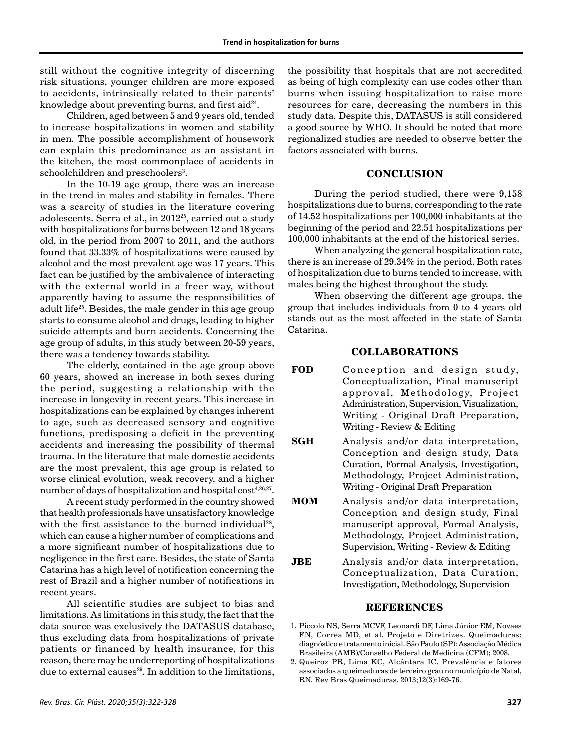still without the cognitive integrity of discerning risk situations, younger children are more exposed to accidents, intrinsically related to their parents' knowledge about preventing burns, and first aid $24$ .

Children, aged between 5 and 9 years old, tended to increase hospitalizations in women and stability in men. The possible accomplishment of housework can explain this predominance as an assistant in the kitchen, the most commonplace of accidents in  $\rm schoolchildren$  and  $\rm preschoolers^3.$ 

In the 10-19 age group, there was an increase in the trend in males and stability in females. There was a scarcity of studies in the literature covering adolescents. Serra et al., in 2012<sup>25</sup>, carried out a study with hospitalizations for burns between 12 and 18 years old, in the period from 2007 to 2011, and the authors found that 33.33% of hospitalizations were caused by alcohol and the most prevalent age was 17 years. This fact can be justified by the ambivalence of interacting with the external world in a freer way, without apparently having to assume the responsibilities of adult life<sup>25</sup>. Besides, the male gender in this age group starts to consume alcohol and drugs, leading to higher suicide attempts and burn accidents. Concerning the age group of adults, in this study between 20-59 years, there was a tendency towards stability.

The elderly, contained in the age group above 60 years, showed an increase in both sexes during the period, suggesting a relationship with the increase in longevity in recent years. This increase in hospitalizations can be explained by changes inherent to age, such as decreased sensory and cognitive functions, predisposing a deficit in the preventing accidents and increasing the possibility of thermal trauma. In the literature that male domestic accidents are the most prevalent, this age group is related to worse clinical evolution, weak recovery, and a higher number of days of hospitalization and hospital cost<sup>4,26,27</sup>.

A recent study performed in the country showed that health professionals have unsatisfactory knowledge with the first assistance to the burned individual<sup>28</sup>, which can cause a higher number of complications and a more significant number of hospitalizations due to negligence in the first care. Besides, the state of Santa Catarina has a high level of notification concerning the rest of Brazil and a higher number of notifications in recent years.

All scientific studies are subject to bias and limitations. As limitations in this study, the fact that the data source was exclusively the DATASUS database, thus excluding data from hospitalizations of private patients or financed by health insurance, for this reason, there may be underreporting of hospitalizations due to external causes<sup>29</sup>. In addition to the limitations, the possibility that hospitals that are not accredited as being of high complexity can use codes other than burns when issuing hospitalization to raise more resources for care, decreasing the numbers in this study data. Despite this, DATASUS is still considered a good source by WHO. It should be noted that more regionalized studies are needed to observe better the factors associated with burns.

# **CONCLUSION**

During the period studied, there were 9,158 hospitalizations due to burns, corresponding to the rate of 14.52 hospitalizations per 100,000 inhabitants at the beginning of the period and 22.51 hospitalizations per 100,000 inhabitants at the end of the historical series.

When analyzing the general hospitalization rate, there is an increase of 29.34% in the period. Both rates of hospitalization due to burns tended to increase, with males being the highest throughout the study.

When observing the different age groups, the group that includes individuals from 0 to 4 years old stands out as the most affected in the state of Santa Catarina.

# **COLLABORATIONS**

- FOD Conception and design study, Conceptualization, Final manuscript approval, Methodology, Project Administration, Supervision, Visualization, Writing - Original Draft Preparation, Writing - Review & Editing
- **SGH** Analysis and/or data interpretation, Conception and design study, Data Curation, Formal Analysis, Investigation, Methodology, Project Administration, Writing - Original Draft Preparation
- **MOM** Analysis and/or data interpretation, Conception and design study, Final manuscript approval, Formal Analysis, Methodology, Project Administration, Supervision, Writing - Review & Editing
- **JBE** Analysis and/or data interpretation, Conceptualization, Data Curation, Investigation, Methodology, Supervision

# **REFERENCES**

- 1. Piccolo NS, Serra MCVF, Leonardi DF, Lima Júnior EM, Novaes FN, Correa MD, et al. Projeto e Diretrizes. Queimaduras: diagnóstico e tratamento inicial. São Paulo (SP): Associação Médica Brasileira (AMB)/Conselho Federal de Medicina (CFM); 2008.
- 2. Queiroz PR, Lima KC, Alcântara IC. Prevalência e fatores associados a queimaduras de terceiro grau no município de Natal, RN. Rev Bras Queimaduras. 2013;12(3):169-76.